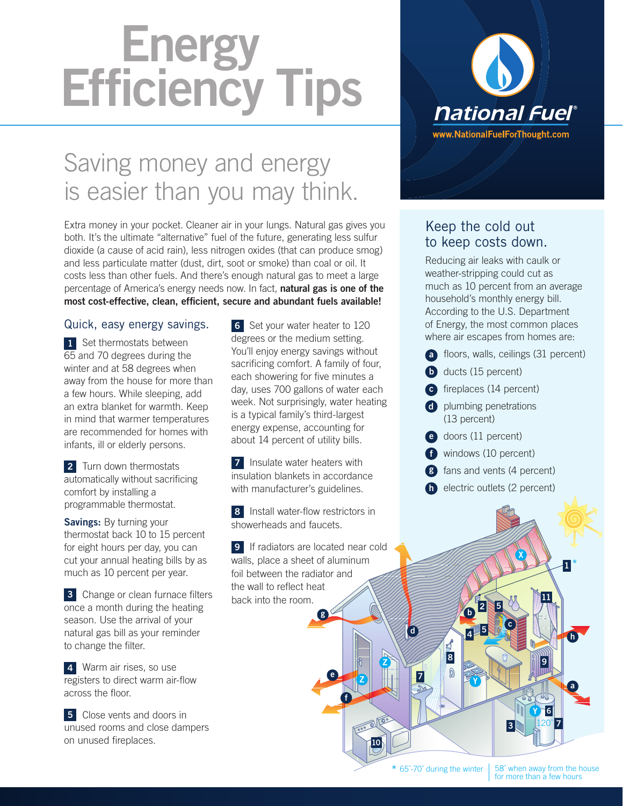# Energy<br>Efficiency Tips

### Saving money and energy is easier than you may think.

Extra money in your pocket. Cleaner air in your lungs. Natural gas gives you both. It's the ultimate "alternative" fuel of the future, generating less sulfur dioxide (a cause of acid rain), less nitrogen oxides (that can produce smog) and less particulate matter (dust, dirt, soot or smoke) than coal or oil. It costs less than other fuels. And there's enough natural gas to meet a large percentage of America's energy needs now. In fact, natural gas is one of the most cost-effective, clean, efficient, secure and abundant fuels available!

#### Quick, easy energy savings.

1 Set thermostats between 65 and 70 degrees during the winter and at 58 degrees when away from the house for more than a few hours. While sleeping, add an extra blanket for warmth. Keep in mind that warmer temperatures are recommended for homes with infants, ill or elderly persons.

**2** Turn down thermostats automatically without sacrificing comfort by installing a programmable thermostat.

Savings: By turning your thermostat back 10 to 15 percent for eight hours per day, you can cut your annual heating bills by as much as 10 percent per year.

**3** Change or clean furnace filters once a month during the heating season. Use the arrival of your natural gas bill as your reminder to change the filter.

4 Warm air rises, so use registers to direct warm air-flow across the floor.

**5** Close vents and doors in unused rooms and close dampers on unused fireplaces.

6 Set your water heater to 120 degrees or the medium setting. You'll enjoy energy savings without sacrificing comfort. A family of four, each showering for five minutes a day, uses 700 gallons of water each week. Not surprisingly, water heating is a typical family's third-largest energy expense, accounting for about 14 percent of utility bills.

**7** Insulate water heaters with insulation blankets in accordance with manufacturer's guidelines.

8 Install water-flow restrictors in showerheads and faucets.

**9** If radiators are located near cold walls, place a sheet of aluminum foil between the radiator and the wall to reflect heat back into the room.

g

e

f

Z



#### Keep the cold out to keep costs down.

Reducing air leaks with caulk or weather-stripping could cut as much as 10 percent from an average household's monthly energy bill. According to the U.S. Department of Energy, the most common places where air escapes from homes are:

- a floors, walls, ceilings (31 percent)
- **b** ducts (15 percent)
- c fireplaces (14 percent)
- d plumbing penetrations (13 percent)
- e doors (11 percent)

 $b^2$ 

 $4$   $\frac{1}{2}$ 

Y

8

 $\mathbb{Q}$ 

 $\boldsymbol{\zeta}$ 

c

X

5

- f windows (10 percent)
- **g** fans and vents (4 percent)
- **h** electric outlets (2 percent)

d

Z

10

7

120˚  $3$   $120^{\circ}$   $7$ 

6

Y

9

11

h

1

\*

a